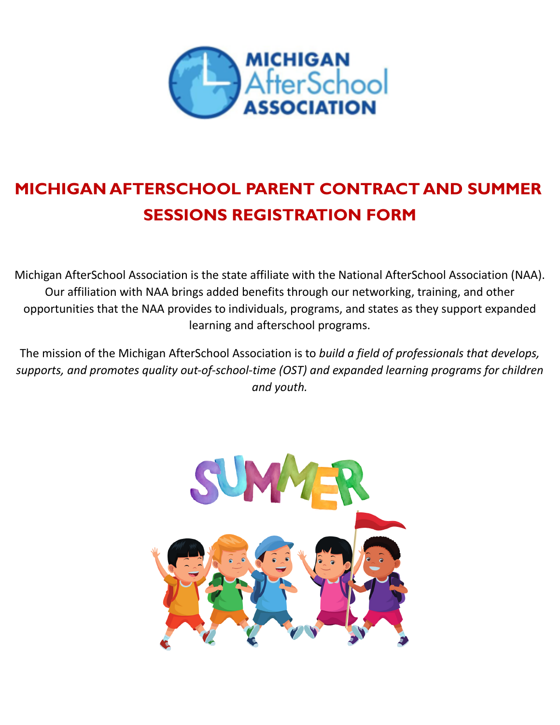

# **MICHIGAN AFTERSCHOOL PARENT CONTRACT AND SUMMER SESSIONS REGISTRATION FORM**

Michigan AfterSchool Association is the state affiliate with the National AfterSchool Association (NAA). Our affiliation with NAA brings added benefits through our networking, training, and other opportunities that the NAA provides to individuals, programs, and states as they support expanded learning and afterschool programs.

The mission of the Michigan AfterSchool Association is to *build a field of professionals that develops, supports, and promotes quality out-of-school-time (OST) and expanded learning programs for children and youth.*

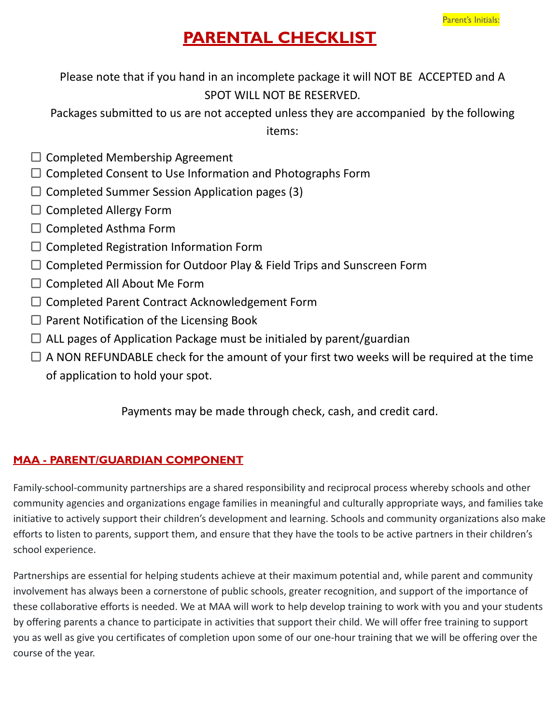## **PARENTAL CHECKLIST**

Please note that if you hand in an incomplete package it will NOT BE ACCEPTED and A SPOT WILL NOT BE RESERVED.

Packages submitted to us are not accepted unless they are accompanied by the following items:

- $\Box$  Completed Membership Agreement
- $\Box$  Completed Consent to Use Information and Photographs Form
- $\Box$  Completed Summer Session Application pages (3)
- $\Box$  Completed Allergy Form
- $\Box$  Completed Asthma Form
- $\Box$  Completed Registration Information Form
- $\Box$  Completed Permission for Outdoor Play & Field Trips and Sunscreen Form
- $\square$  Completed All About Me Form
- $\Box$  Completed Parent Contract Acknowledgement Form
- $\Box$  Parent Notification of the Licensing Book
- $\Box$  ALL pages of Application Package must be initialed by parent/guardian
- $\Box$  A NON REFUNDABLE check for the amount of your first two weeks will be required at the time of application to hold your spot.

Payments may be made through check, cash, and credit card.

#### **MAA - PARENT/GUARDIAN COMPONENT**

Family-school-community partnerships are a shared responsibility and reciprocal process whereby schools and other community agencies and organizations engage families in meaningful and culturally appropriate ways, and families take initiative to actively support their children's development and learning. Schools and community organizations also make efforts to listen to parents, support them, and ensure that they have the tools to be active partners in their children's school experience.

Partnerships are essential for helping students achieve at their maximum potential and, while parent and community involvement has always been a cornerstone of public schools, greater recognition, and support of the importance of these collaborative efforts is needed. We at MAA will work to help develop training to work with you and your students by offering parents a chance to participate in activities that support their child. We will offer free training to support you as well as give you certificates of completion upon some of our one-hour training that we will be offering over the course of the year.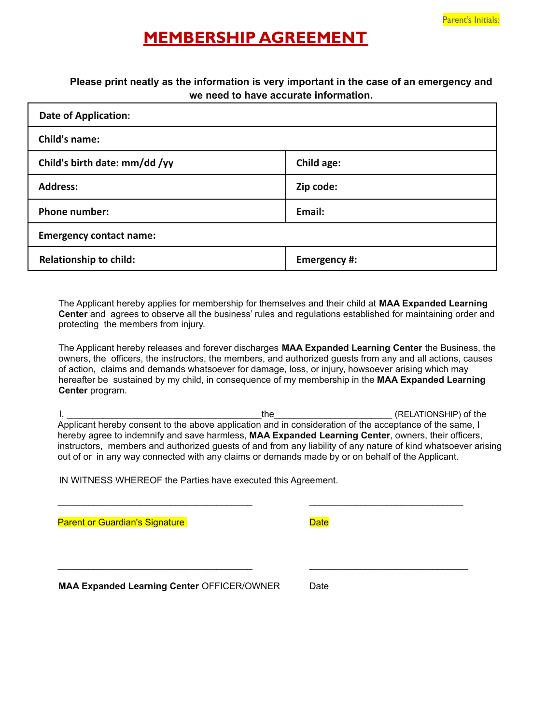#### **MEMBERSHIP AGREEMENT**

#### **Please print neatly as the information is very important in the case of an emergency and we need to have accurate information.**

| <b>Date of Application:</b>    |              |  |  |
|--------------------------------|--------------|--|--|
| Child's name:                  |              |  |  |
| Child's birth date: mm/dd /yy  | Child age:   |  |  |
| <b>Address:</b>                | Zip code:    |  |  |
| <b>Phone number:</b>           | Email:       |  |  |
| <b>Emergency contact name:</b> |              |  |  |
| <b>Relationship to child:</b>  | Emergency #: |  |  |

The Applicant hereby applies for membership for themselves and their child at **MAA Expanded Learning Center** and agrees to observe all the business' rules and regulations established for maintaining order and protecting the members from injury.

The Applicant hereby releases and forever discharges **MAA Expanded Learning Center** the Business, the owners, the officers, the instructors, the members, and authorized guests from any and all actions, causes of action, claims and demands whatsoever for damage, loss, or injury, howsoever arising which may hereafter be sustained by my child, in consequence of my membership in the **MAA Expanded Learning Center** program.

I, \_\_\_\_\_\_\_\_\_\_\_\_\_\_\_\_\_\_\_\_\_\_\_\_\_\_\_\_\_\_\_\_\_\_\_\_\_\_the\_\_\_\_\_\_\_\_\_\_\_\_\_\_\_\_\_\_\_\_\_\_\_ (RELATIONSHIP) of the Applicant hereby consent to the above application and in consideration of the acceptance of the same, I hereby agree to indemnify and save harmless, **MAA Expanded Learning Center**, owners, their officers, instructors, members and authorized guests of and from any liability of any nature of kind whatsoever arising out of or in any way connected with any claims or demands made by or on behalf of the Applicant.

 $\_$  , and the set of the set of the set of the set of the set of the set of the set of the set of the set of the set of the set of the set of the set of the set of the set of the set of the set of the set of the set of th

\_\_\_\_\_\_\_\_\_\_\_\_\_\_\_\_\_\_\_\_\_\_\_\_\_\_\_\_\_\_\_\_\_\_\_\_\_\_ \_\_\_\_\_\_\_\_\_\_\_\_\_\_\_\_\_\_\_\_\_\_\_\_\_\_\_\_\_\_\_

IN WITNESS WHEREOF the Parties have executed this Agreement.

**Parent or Guardian's Signature** Date Date Date

**MAA Expanded Learning Center** OFFICER/OWNER Date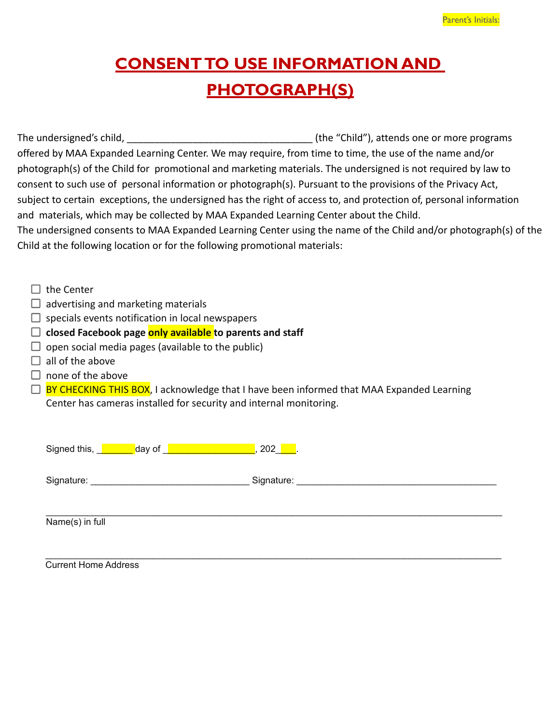# **CONSENT TO USE INFORMATION AND PHOTOGRAPH(S)**

The undersigned's child, The undersigned's child, The undersigned's child, The undersigned's child, offered by MAA Expanded Learning Center. We may require, from time to time, the use of the name and/or photograph(s) of the Child for promotional and marketing materials. The undersigned is not required by law to consent to such use of personal information or photograph(s). Pursuant to the provisions of the Privacy Act, subject to certain exceptions, the undersigned has the right of access to, and protection of, personal information and materials, which may be collected by MAA Expanded Learning Center about the Child. The undersigned consents to MAA Expanded Learning Center using the name of the Child and/or photograph(s) of the Child at the following location or for the following promotional materials:

 $\Box$  the Center

- $\Box$  advertising and marketing materials
- $\Box$  specials events notification in local newspapers
- **closed Facebook page only available to parents and staff**
- $\Box$  open social media pages (available to the public)
- $\Box$  all of the above
- $\Box$  none of the above
- $\Box$  BY CHECKING THIS BOX, I acknowledge that I have been informed that MAA Expanded Learning Center has cameras installed for security and internal monitoring.

| Signed this, <u>J</u><br>day of | 202        |
|---------------------------------|------------|
| Signature:                      | Signature: |
| Name(s) in full                 |            |

 $\_$  , and the state of the state of the state of the state of the state of the state of the state of the state of the state of the state of the state of the state of the state of the state of the state of the state of the Current Home Address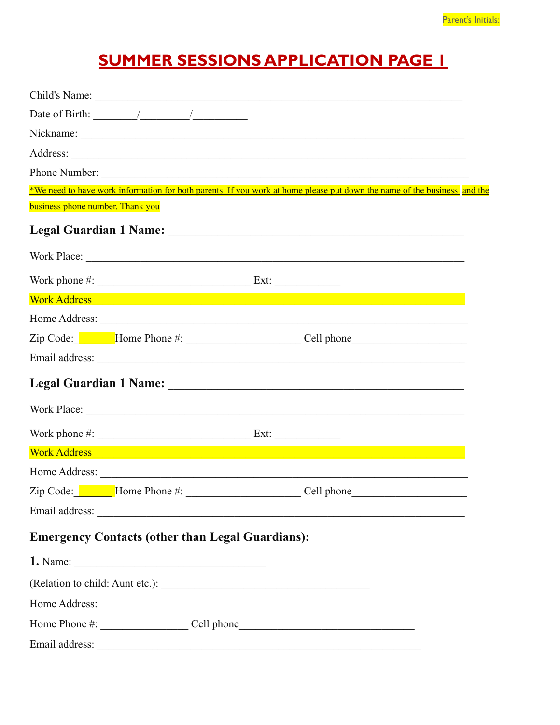# **SUMMER SESSIONS APPLICATION PAGE I**

|                                         |                                                                                                                                                                                                                                                                                                                                                                                                                   | Child's Name:                                                                                                            |
|-----------------------------------------|-------------------------------------------------------------------------------------------------------------------------------------------------------------------------------------------------------------------------------------------------------------------------------------------------------------------------------------------------------------------------------------------------------------------|--------------------------------------------------------------------------------------------------------------------------|
|                                         | Date of Birth: $\frac{1}{\sqrt{1-\frac{1}{2}}}\frac{1}{\sqrt{1-\frac{1}{2}}}\frac{1}{\sqrt{1-\frac{1}{2}}}\frac{1}{\sqrt{1-\frac{1}{2}}}\frac{1}{\sqrt{1-\frac{1}{2}}}\frac{1}{\sqrt{1-\frac{1}{2}}}\frac{1}{\sqrt{1-\frac{1}{2}}}\frac{1}{\sqrt{1-\frac{1}{2}}}\frac{1}{\sqrt{1-\frac{1}{2}}}\frac{1}{\sqrt{1-\frac{1}{2}}}\frac{1}{\sqrt{1-\frac{1}{2}}}\frac{1}{\sqrt{1-\frac{1}{2}}}\frac{1}{\sqrt{1-\frac{1$ |                                                                                                                          |
|                                         |                                                                                                                                                                                                                                                                                                                                                                                                                   |                                                                                                                          |
|                                         |                                                                                                                                                                                                                                                                                                                                                                                                                   |                                                                                                                          |
|                                         |                                                                                                                                                                                                                                                                                                                                                                                                                   | Phone Number:                                                                                                            |
|                                         |                                                                                                                                                                                                                                                                                                                                                                                                                   | *We need to have work information for both parents. If you work at home please put down the name of the business and the |
| <b>business phone number. Thank you</b> |                                                                                                                                                                                                                                                                                                                                                                                                                   |                                                                                                                          |
|                                         |                                                                                                                                                                                                                                                                                                                                                                                                                   |                                                                                                                          |
|                                         |                                                                                                                                                                                                                                                                                                                                                                                                                   |                                                                                                                          |
|                                         |                                                                                                                                                                                                                                                                                                                                                                                                                   |                                                                                                                          |
|                                         |                                                                                                                                                                                                                                                                                                                                                                                                                   | Work Address and the contract of the contract of the contract of the contract of the contract of the contract of         |
|                                         |                                                                                                                                                                                                                                                                                                                                                                                                                   |                                                                                                                          |
|                                         |                                                                                                                                                                                                                                                                                                                                                                                                                   | Zip Code: Home Phone #: Cell phone                                                                                       |
|                                         |                                                                                                                                                                                                                                                                                                                                                                                                                   |                                                                                                                          |
|                                         |                                                                                                                                                                                                                                                                                                                                                                                                                   |                                                                                                                          |
|                                         |                                                                                                                                                                                                                                                                                                                                                                                                                   |                                                                                                                          |
|                                         | Work phone $\#$ : $\_\_\_\_\_\_\_\_\_\_\_\_\_\_\_\_\_\_\_\_\_\_\_\_\_\_\_\_\_\_\_\_$ Ext:                                                                                                                                                                                                                                                                                                                         |                                                                                                                          |
|                                         |                                                                                                                                                                                                                                                                                                                                                                                                                   | Work Address and the contract of the contract of the contract of the contract of the contract of the contract of         |
|                                         |                                                                                                                                                                                                                                                                                                                                                                                                                   |                                                                                                                          |
|                                         | Zip Code: Mome Phone #: Cell phone_                                                                                                                                                                                                                                                                                                                                                                               |                                                                                                                          |
|                                         |                                                                                                                                                                                                                                                                                                                                                                                                                   |                                                                                                                          |
|                                         | <b>Emergency Contacts (other than Legal Guardians):</b>                                                                                                                                                                                                                                                                                                                                                           |                                                                                                                          |
|                                         |                                                                                                                                                                                                                                                                                                                                                                                                                   |                                                                                                                          |
|                                         |                                                                                                                                                                                                                                                                                                                                                                                                                   |                                                                                                                          |
|                                         | Home Address:                                                                                                                                                                                                                                                                                                                                                                                                     |                                                                                                                          |
|                                         |                                                                                                                                                                                                                                                                                                                                                                                                                   |                                                                                                                          |
| Email address:                          |                                                                                                                                                                                                                                                                                                                                                                                                                   | <u> 1989 - Jan James James Barnett, martin de filosofoar (h. 1989).</u>                                                  |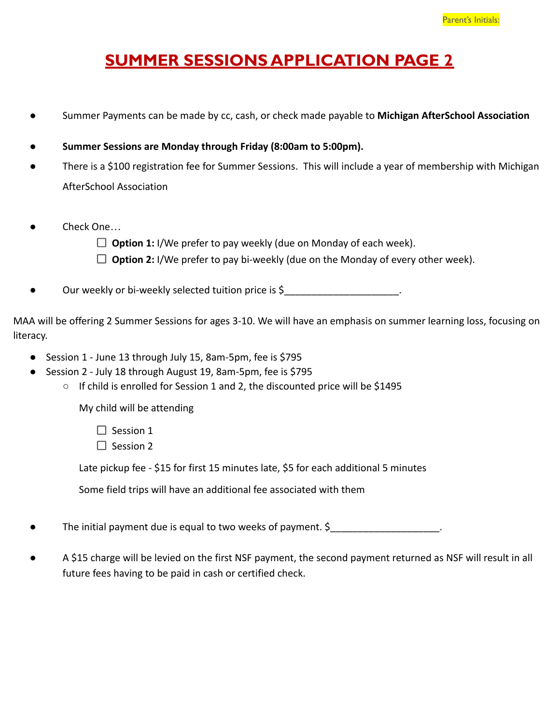## **SUMMER SESSIONS APPLICATION PAGE 2**

- Summer Payments can be made by cc, cash, or check made payable to **Michigan AfterSchool Association**
- Summer Sessions are Monday through Friday (8:00am to 5:00pm).
- There is a \$100 registration fee for Summer Sessions. This will include a year of membership with Michigan AfterSchool Association
- Check One...
	- **Option 1:** I/We prefer to pay weekly (due on Monday of each week).
	- □ **Option 2:** I/We prefer to pay bi-weekly (due on the Monday of every other week).

Our weekly or bi-weekly selected tuition price is \$ \_\_\_\_\_\_\_\_\_\_\_\_\_\_\_\_\_\_\_\_\_\_.

MAA will be offering 2 Summer Sessions for ages 3-10. We will have an emphasis on summer learning loss, focusing on literacy.

- Session 1 June 13 through July 15, 8am-5pm, fee is \$795
- Session 2 July 18 through August 19, 8am-5pm, fee is \$795
	- If child is enrolled for Session 1 and 2, the discounted price will be \$1495

My child will be attending

 $\Box$  Session 1

 $\Box$  Session 2

Late pickup fee - \$15 for first 15 minutes late, \$5 for each additional 5 minutes

Some field trips will have an additional fee associated with them

The initial payment due is equal to two weeks of payment. \$\_\_\_\_\_\_\_\_\_\_\_\_\_\_\_\_\_\_\_\_\_.

A \$15 charge will be levied on the first NSF payment, the second payment returned as NSF will result in all future fees having to be paid in cash or certified check.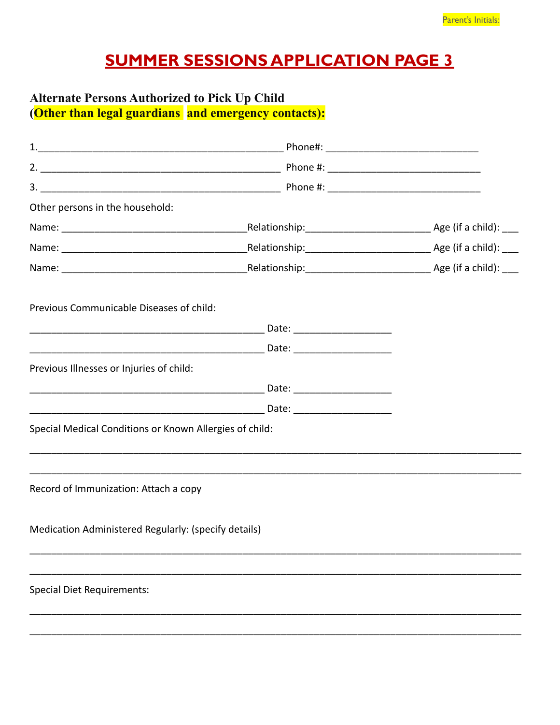# **SUMMER SESSIONS APPLICATION PAGE 3**

# Alternate Persons Authorized to Pick Up Child<br>(Other than legal guardians and emergency contacts):

| Other persons in the household:                         |  |
|---------------------------------------------------------|--|
|                                                         |  |
|                                                         |  |
|                                                         |  |
| Previous Communicable Diseases of child:                |  |
|                                                         |  |
|                                                         |  |
| Previous Illnesses or Injuries of child:                |  |
|                                                         |  |
|                                                         |  |
| Special Medical Conditions or Known Allergies of child: |  |
|                                                         |  |
| Record of Immunization: Attach a copy                   |  |
| Medication Administered Regularly: (specify details)    |  |
|                                                         |  |
| <b>Special Diet Requirements:</b>                       |  |
|                                                         |  |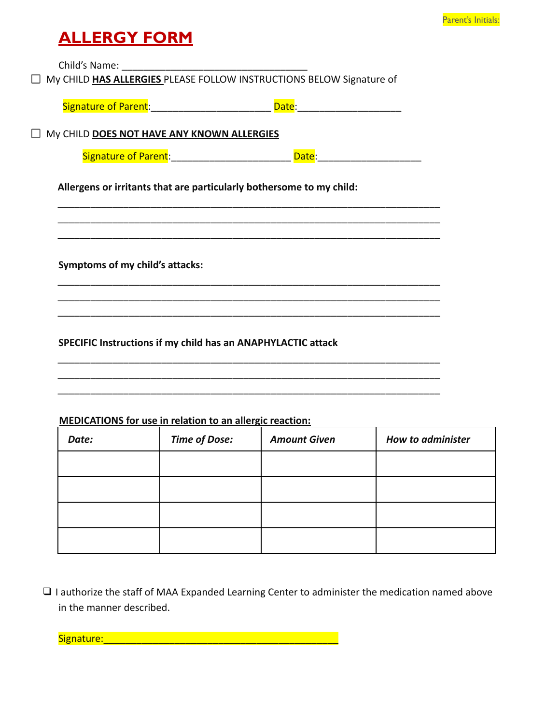#### **ALLERGY FORM**

Child's Name:

My CHILD **HAS ALLERGIES** PLEASE FOLLOW INSTRUCTIONS BELOW Signature of

| Signature of Parent: | date. |  |
|----------------------|-------|--|
|                      |       |  |
|                      |       |  |

My CHILD **DOES NOT HAVE ANY KNOWN ALLERGIES**

| Signature of<br><b>Parent:</b> |  |  |
|--------------------------------|--|--|
|                                |  |  |

\_\_\_\_\_\_\_\_\_\_\_\_\_\_\_\_\_\_\_\_\_\_\_\_\_\_\_\_\_\_\_\_\_\_\_\_\_\_\_\_\_\_\_\_\_\_\_\_\_\_\_\_\_\_\_\_\_\_\_\_\_\_\_\_\_\_\_\_\_\_ \_\_\_\_\_\_\_\_\_\_\_\_\_\_\_\_\_\_\_\_\_\_\_\_\_\_\_\_\_\_\_\_\_\_\_\_\_\_\_\_\_\_\_\_\_\_\_\_\_\_\_\_\_\_\_\_\_\_\_\_\_\_\_\_\_\_\_\_\_\_ \_\_\_\_\_\_\_\_\_\_\_\_\_\_\_\_\_\_\_\_\_\_\_\_\_\_\_\_\_\_\_\_\_\_\_\_\_\_\_\_\_\_\_\_\_\_\_\_\_\_\_\_\_\_\_\_\_\_\_\_\_\_\_\_\_\_\_\_\_\_

\_\_\_\_\_\_\_\_\_\_\_\_\_\_\_\_\_\_\_\_\_\_\_\_\_\_\_\_\_\_\_\_\_\_\_\_\_\_\_\_\_\_\_\_\_\_\_\_\_\_\_\_\_\_\_\_\_\_\_\_\_\_\_\_\_\_\_\_\_\_ \_\_\_\_\_\_\_\_\_\_\_\_\_\_\_\_\_\_\_\_\_\_\_\_\_\_\_\_\_\_\_\_\_\_\_\_\_\_\_\_\_\_\_\_\_\_\_\_\_\_\_\_\_\_\_\_\_\_\_\_\_\_\_\_\_\_\_\_\_\_ \_\_\_\_\_\_\_\_\_\_\_\_\_\_\_\_\_\_\_\_\_\_\_\_\_\_\_\_\_\_\_\_\_\_\_\_\_\_\_\_\_\_\_\_\_\_\_\_\_\_\_\_\_\_\_\_\_\_\_\_\_\_\_\_\_\_\_\_\_\_

\_\_\_\_\_\_\_\_\_\_\_\_\_\_\_\_\_\_\_\_\_\_\_\_\_\_\_\_\_\_\_\_\_\_\_\_\_\_\_\_\_\_\_\_\_\_\_\_\_\_\_\_\_\_\_\_\_\_\_\_\_\_\_\_\_\_\_\_\_\_ \_\_\_\_\_\_\_\_\_\_\_\_\_\_\_\_\_\_\_\_\_\_\_\_\_\_\_\_\_\_\_\_\_\_\_\_\_\_\_\_\_\_\_\_\_\_\_\_\_\_\_\_\_\_\_\_\_\_\_\_\_\_\_\_\_\_\_\_\_\_ \_\_\_\_\_\_\_\_\_\_\_\_\_\_\_\_\_\_\_\_\_\_\_\_\_\_\_\_\_\_\_\_\_\_\_\_\_\_\_\_\_\_\_\_\_\_\_\_\_\_\_\_\_\_\_\_\_\_\_\_\_\_\_\_\_\_\_\_\_\_

**Allergens or irritants that are particularly bothersome to my child:**

**Symptoms of my child's attacks:**

**SPECIFIC Instructions if my child has an ANAPHYLACTIC attack**

#### **MEDICATIONS for use in relation to an allergic reaction:**

| Date: | <b>Time of Dose:</b> | <b>Amount Given</b> | <b>How to administer</b> |
|-------|----------------------|---------------------|--------------------------|
|       |                      |                     |                          |
|       |                      |                     |                          |
|       |                      |                     |                          |
|       |                      |                     |                          |

❑ I authorize the staff of MAA Expanded Learning Center to administer the medication named above in the manner described.

Signature:\_\_\_\_\_\_\_\_\_\_\_\_\_\_\_\_\_\_\_\_\_\_\_\_\_\_\_\_\_\_\_\_\_\_\_\_\_\_\_\_\_\_\_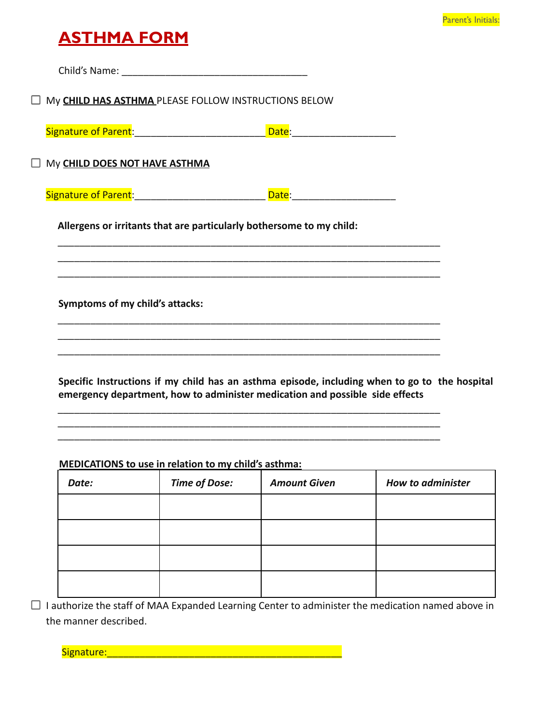#### **ASTHMA FORM**

Child's Name: My **CHILD HAS ASTHMA** PLEASE FOLLOW INSTRUCTIONS BELOW Signature of Parent: \_\_\_\_\_\_\_\_\_\_\_\_\_\_\_\_\_\_\_\_\_\_\_\_\_\_\_\_\_\_\_\_\_\_\_Date: \_\_\_\_\_\_\_\_\_\_\_\_\_\_\_\_\_\_ My **CHILD DOES NOT HAVE ASTHMA** Signature of Parent: \_\_\_\_\_\_\_\_\_\_\_\_\_\_\_\_\_\_\_\_\_\_\_\_\_\_\_\_\_ Date: \_\_\_\_\_\_\_\_\_\_\_\_\_\_\_\_\_\_\_\_\_\_\_ **Allergens or irritants that are particularly bothersome to my child:** \_\_\_\_\_\_\_\_\_\_\_\_\_\_\_\_\_\_\_\_\_\_\_\_\_\_\_\_\_\_\_\_\_\_\_\_\_\_\_\_\_\_\_\_\_\_\_\_\_\_\_\_\_\_\_\_\_\_\_\_\_\_\_\_\_\_\_\_\_\_ \_\_\_\_\_\_\_\_\_\_\_\_\_\_\_\_\_\_\_\_\_\_\_\_\_\_\_\_\_\_\_\_\_\_\_\_\_\_\_\_\_\_\_\_\_\_\_\_\_\_\_\_\_\_\_\_\_\_\_\_\_\_\_\_\_\_\_\_\_\_ \_\_\_\_\_\_\_\_\_\_\_\_\_\_\_\_\_\_\_\_\_\_\_\_\_\_\_\_\_\_\_\_\_\_\_\_\_\_\_\_\_\_\_\_\_\_\_\_\_\_\_\_\_\_\_\_\_\_\_\_\_\_\_\_\_\_\_\_\_\_ **Symptoms of my child's attacks:** \_\_\_\_\_\_\_\_\_\_\_\_\_\_\_\_\_\_\_\_\_\_\_\_\_\_\_\_\_\_\_\_\_\_\_\_\_\_\_\_\_\_\_\_\_\_\_\_\_\_\_\_\_\_\_\_\_\_\_\_\_\_\_\_\_\_\_\_\_\_ \_\_\_\_\_\_\_\_\_\_\_\_\_\_\_\_\_\_\_\_\_\_\_\_\_\_\_\_\_\_\_\_\_\_\_\_\_\_\_\_\_\_\_\_\_\_\_\_\_\_\_\_\_\_\_\_\_\_\_\_\_\_\_\_\_\_\_\_\_\_ \_\_\_\_\_\_\_\_\_\_\_\_\_\_\_\_\_\_\_\_\_\_\_\_\_\_\_\_\_\_\_\_\_\_\_\_\_\_\_\_\_\_\_\_\_\_\_\_\_\_\_\_\_\_\_\_\_\_\_\_\_\_\_\_\_\_\_\_\_\_ **Specific Instructions if my child has an asthma episode, including when to go to the hospital emergency department, how to administer medication and possible side effects**

**MEDICATIONS to use in relation to my child's asthma:**

| Date: | <b>Time of Dose:</b> | <b>Amount Given</b> | <b>How to administer</b> |
|-------|----------------------|---------------------|--------------------------|
|       |                      |                     |                          |
|       |                      |                     |                          |
|       |                      |                     |                          |
|       |                      |                     |                          |

\_\_\_\_\_\_\_\_\_\_\_\_\_\_\_\_\_\_\_\_\_\_\_\_\_\_\_\_\_\_\_\_\_\_\_\_\_\_\_\_\_\_\_\_\_\_\_\_\_\_\_\_\_\_\_\_\_\_\_\_\_\_\_\_\_\_\_\_\_\_ \_\_\_\_\_\_\_\_\_\_\_\_\_\_\_\_\_\_\_\_\_\_\_\_\_\_\_\_\_\_\_\_\_\_\_\_\_\_\_\_\_\_\_\_\_\_\_\_\_\_\_\_\_\_\_\_\_\_\_\_\_\_\_\_\_\_\_\_\_\_ \_\_\_\_\_\_\_\_\_\_\_\_\_\_\_\_\_\_\_\_\_\_\_\_\_\_\_\_\_\_\_\_\_\_\_\_\_\_\_\_\_\_\_\_\_\_\_\_\_\_\_\_\_\_\_\_\_\_\_\_\_\_\_\_\_\_\_\_\_\_

 $\Box$  I authorize the staff of MAA Expanded Learning Center to administer the medication named above in the manner described.

Signature:\_\_\_\_\_\_\_\_\_\_\_\_\_\_\_\_\_\_\_\_\_\_\_\_\_\_\_\_\_\_\_\_\_\_\_\_\_\_\_\_\_\_\_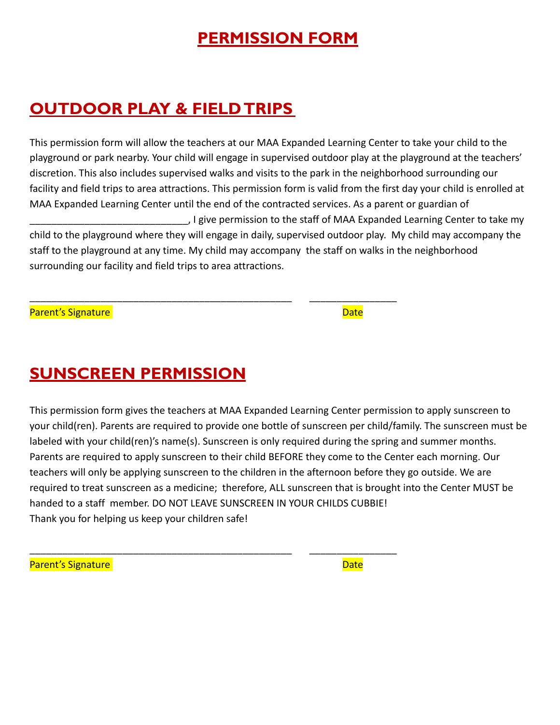## **PERMISSION FORM**

## **OUTDOOR PLAY & FIELD TRIPS**

This permission form will allow the teachers at our MAA Expanded Learning Center to take your child to the playground or park nearby. Your child will engage in supervised outdoor play at the playground at the teachers' discretion. This also includes supervised walks and visits to the park in the neighborhood surrounding our facility and field trips to area attractions. This permission form is valid from the first day your child is enrolled at MAA Expanded Learning Center until the end of the contracted services. As a parent or guardian of \_\_\_\_\_\_\_\_\_\_\_\_\_\_\_\_\_\_\_\_\_\_\_\_\_\_\_\_\_, I give permission to the staff of MAA Expanded Learning Center to take my child to the playground where they will engage in daily, supervised outdoor play. My child may accompany the staff to the playground at any time. My child may accompany the staff on walks in the neighborhood surrounding our facility and field trips to area attractions.

\_\_\_\_\_\_\_\_\_\_\_\_\_\_\_\_\_\_\_\_\_\_\_\_\_\_\_\_\_\_\_\_\_\_\_\_\_\_\_\_\_\_\_\_\_\_\_\_ \_\_\_\_\_\_\_\_\_\_\_\_\_\_\_\_

\_\_\_\_\_\_\_\_\_\_\_\_\_\_\_\_\_\_\_\_\_\_\_\_\_\_\_\_\_\_\_\_\_\_\_\_\_\_\_\_\_\_\_\_\_\_\_\_ \_\_\_\_\_\_\_\_\_\_\_\_\_\_\_\_

Parent's Signature and Date Date of the Date of the Date Date of the Date Date of the Date Date of the Date of

## **SUNSCREEN PERMISSION**

This permission form gives the teachers at MAA Expanded Learning Center permission to apply sunscreen to your child(ren). Parents are required to provide one bottle of sunscreen per child/family. The sunscreen must be labeled with your child(ren)'s name(s). Sunscreen is only required during the spring and summer months. Parents are required to apply sunscreen to their child BEFORE they come to the Center each morning. Our teachers will only be applying sunscreen to the children in the afternoon before they go outside. We are required to treat sunscreen as a medicine; therefore, ALL sunscreen that is brought into the Center MUST be handed to a staff member. DO NOT LEAVE SUNSCREEN IN YOUR CHILDS CUBBIE! Thank you for helping us keep your children safe!

Parent's Signature **Date**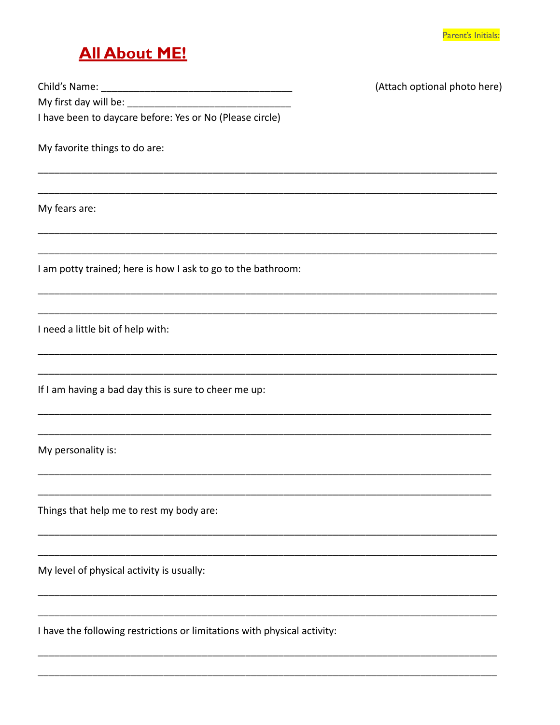#### **All About ME!**

(Attach optional photo here)

I have been to daycare before: Yes or No (Please circle)

My favorite things to do are:

My fears are:

I am potty trained; here is how I ask to go to the bathroom:

I need a little bit of help with:

If I am having a bad day this is sure to cheer me up:

My personality is:

Things that help me to rest my body are:

My level of physical activity is usually:

I have the following restrictions or limitations with physical activity: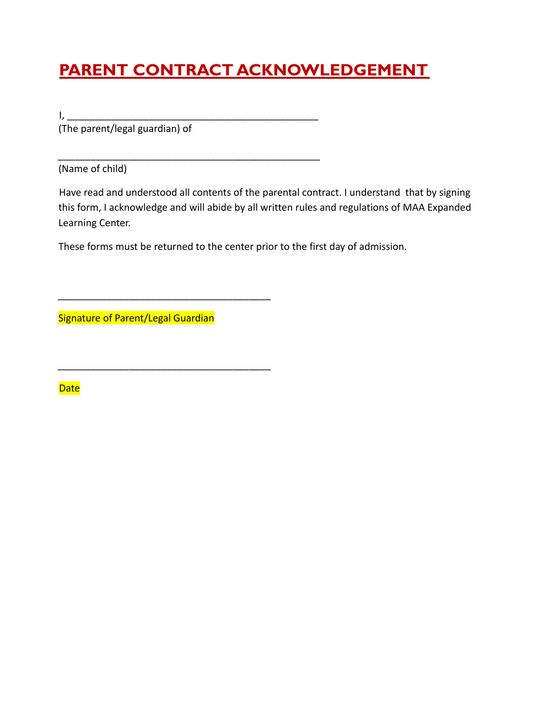# **PARENT CONTRACT ACKNOWLEDGEMENT**

I, \_\_\_\_\_\_\_\_\_\_\_\_\_\_\_\_\_\_\_\_\_\_\_\_\_\_\_\_\_\_\_\_\_\_\_\_\_\_\_\_\_\_\_\_\_\_ (The parent/legal guardian) of

(Name of child)

Have read and understood all contents of the parental contract. I understand that by signing this form, I acknowledge and will abide by all written rules and regulations of MAA Expanded Learning Center.

These forms must be returned to the center prior to the first day of admission.

\_\_\_\_\_\_\_\_\_\_\_\_\_\_\_\_\_\_\_\_\_\_\_\_\_\_\_\_\_\_\_\_\_\_\_\_\_\_\_\_\_\_\_\_\_\_\_\_

Signature of Parent/Legal Guardian

\_\_\_\_\_\_\_\_\_\_\_\_\_\_\_\_\_\_\_\_\_\_\_\_\_\_\_\_\_\_\_\_\_\_\_\_\_\_\_

\_\_\_\_\_\_\_\_\_\_\_\_\_\_\_\_\_\_\_\_\_\_\_\_\_\_\_\_\_\_\_\_\_\_\_\_\_\_\_

**Date**